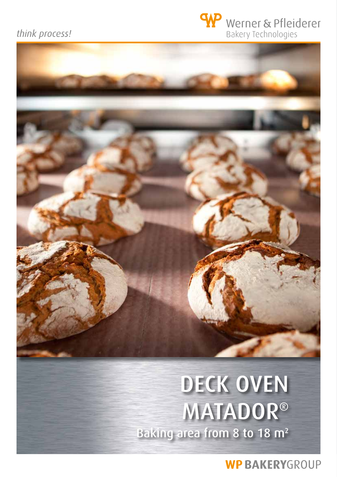## think process!

# Werner & Pfleiderer **Bakery Technologies**

# DECK OVEN MATADOR® Baking area from 8 to 18 m<sup>2</sup>

**WP BAKERYGROUP**